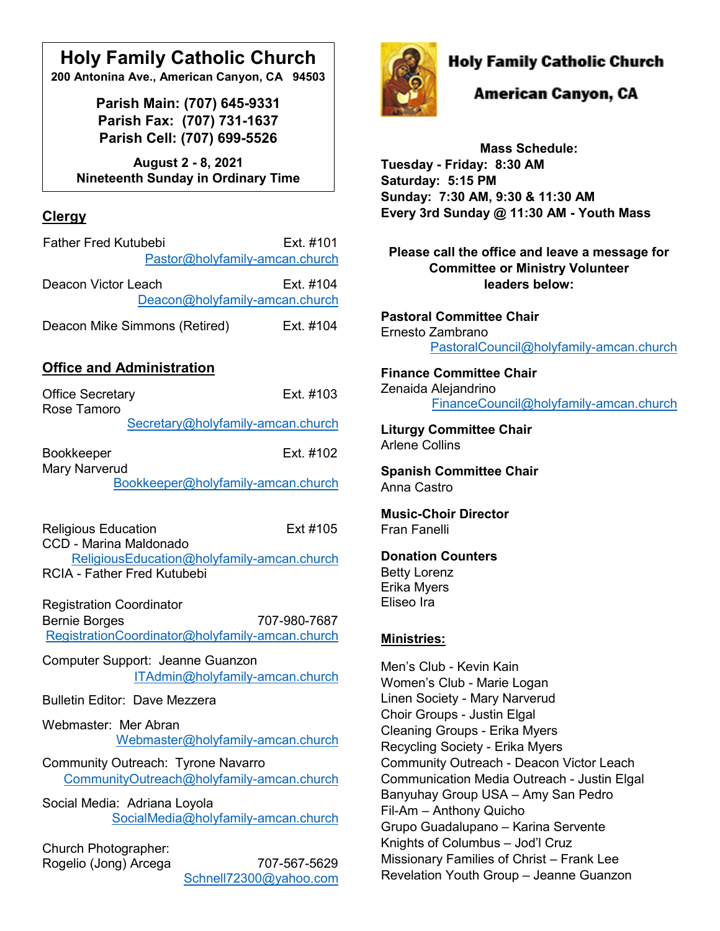### **Holy Family Catholic Church**

**200 Antonina Ave., American Canyon, CA 94503**

**Parish Main: (707) 645-9331 Parish Fax: (707) 731-1637 Parish Cell: (707) 699-5526**

**August 2 - 8, 2021 Nineteenth Sunday in Ordinary Time**

#### **Clergy**

| <b>Father Fred Kutubebi</b>    | Ext. #101 |
|--------------------------------|-----------|
| Pastor@holyfamily-amcan.church |           |
| Deacon Victor Leach            | Ext. #104 |
| Deacon@holyfamily-amcan.church |           |
| Deacon Mike Simmons (Retired)  | Ext. #104 |

#### **Office and Administration**

| <b>Office Secretary</b><br>Rose Tamoro                              | Fxt #103                                                        |  |
|---------------------------------------------------------------------|-----------------------------------------------------------------|--|
|                                                                     | Secretary@holyfamily-amcan.church                               |  |
| <b>Bookkeeper</b><br><b>Mary Narverud</b>                           | Ext. #102                                                       |  |
|                                                                     | Bookkeeper@holyfamily-amcan.church                              |  |
| <b>Religious Education</b><br>CCD - Marina Maldonado                | Ext #105                                                        |  |
| <b>RCIA - Father Fred Kutubebi</b>                                  | ReligiousEducation@holyfamily-amcan.church                      |  |
| <b>Registration Coordinator</b><br><b>Bernie Borges</b>             | 707-980-7687<br>RegistrationCoordinator@holyfamily-amcan.church |  |
| Computer Support: Jeanne Guanzon<br>ITAdmin@holyfamily-amcan.church |                                                                 |  |
| <b>Bulletin Editor: Dave Mezzera</b>                                |                                                                 |  |
| Webmaster: Mer Abran                                                | Webmaster@holyfamily-amcan.church                               |  |
| Community Outreach: Tyrone Navarro                                  | CommunityOutreach@holyfamily-amcan.church                       |  |
| Social Media: Adriana Loyola                                        | SocialMedia@holyfamily-amcan.church                             |  |
| Church Photographer:<br>Rogelio (Jong) Arcega                       | 707-567-5629<br>Schnell72300@yahoo.com                          |  |



#### **Holy Family Catholic Church**

American Canyon, CA

**Mass Schedule: Tuesday - Friday: 8:30 AM Saturday: 5:15 PM Sunday: 7:30 AM, 9:30 & 11:30 AM Every 3rd Sunday @ 11:30 AM - Youth Mass**

**Please call the office and leave a message for Committee or Ministry Volunteer leaders below:**

**Pastoral Committee Chair** Ernesto Zambrano [PastoralCouncil@holyfamily-amcan.church](mailto:PastoralCouncil@holyfamily-amcan.church)

#### **Finance Committee Chair** Zenaida Alejandrino [FinanceCouncil@holyfamily-amcan.church](mailto:FinanceCouncil@holyfamily-amcan.church)

**Liturgy Committee Chair**  Arlene Collins

**Spanish Committee Chair** Anna Castro

**Music-Choir Director** Fran Fanelli

#### **Donation Counters**

Betty Lorenz Erika Myers Eliseo Ira

#### **Ministries:**

Men's Club - Kevin Kain Women's Club - Marie Logan Linen Society - Mary Narverud Choir Groups - Justin Elgal Cleaning Groups - Erika Myers Recycling Society - Erika Myers Community Outreach - Deacon Victor Leach Communication Media Outreach - Justin Elgal Banyuhay Group USA – Amy San Pedro Fil-Am – Anthony Quicho Grupo Guadalupano – Karina Servente Knights of Columbus – Jod'l Cruz Missionary Families of Christ – Frank Lee Revelation Youth Group – Jeanne Guanzon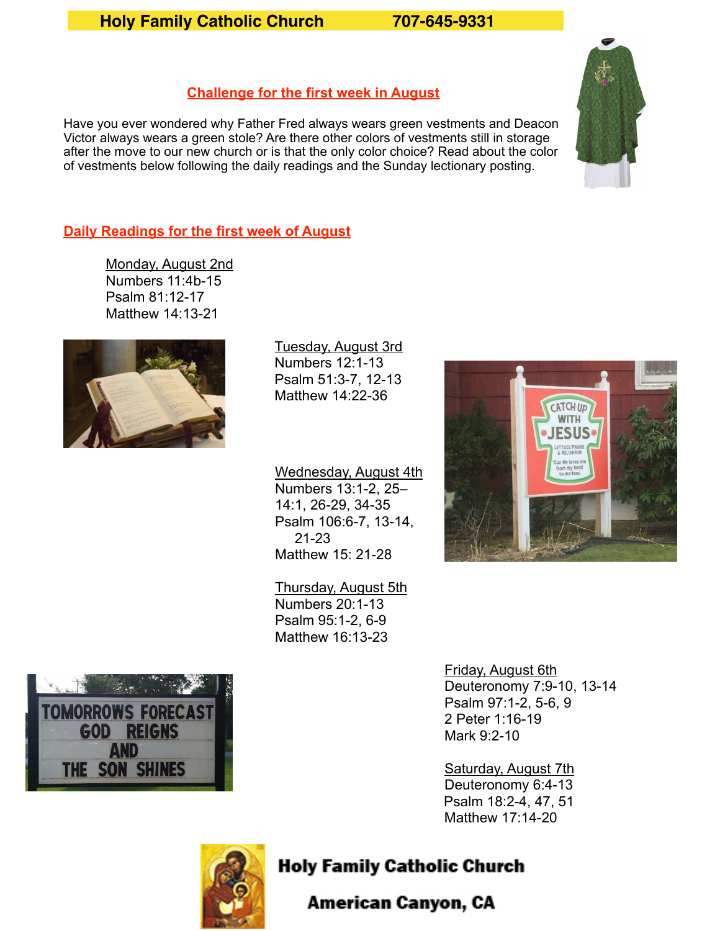#### **Holy Family Catholic Church 707-645-9331**

#### **Challenge for the first week in August**

Have you ever wondered why Father Fred always wears green vestments and Deacon Victor always wears a green stole? Are there other colors of vestments still in storage after the move to our new church or is that the only color choice? Read about the color of vestments below following the daily readings and the Sunday lectionary posting.

#### **Daily Readings for the first week of August**

Monday, August 2nd Numbers 11:4b-15 Psalm 81:12-17 Matthew 14:13-21



Tuesday, August 3rd Numbers 12:1-13 Psalm 51:3-7, 12-13 Matthew 14:22-36

 Wednesday, August 4th Numbers 13:1-2, 25– 14:1, 26-29, 34-35 Psalm 106:6-7, 13-14, 21-23 Matthew 15: 21-28

 Thursday, August 5th Numbers 20:1-13 Psalm 95:1-2, 6-9 Matthew 16:13-23





 Friday, August 6th Deuteronomy 7:9-10, 13-14 Psalm 97:1-2, 5-6, 9 2 Peter 1:16-19 Mark 9:2-10

 Saturday, August 7th Deuteronomy 6:4-13 Psalm 18:2-4, 47, 51 Matthew 17:14-20



#### **Holy Family Catholic Church**

American Canyon, CA

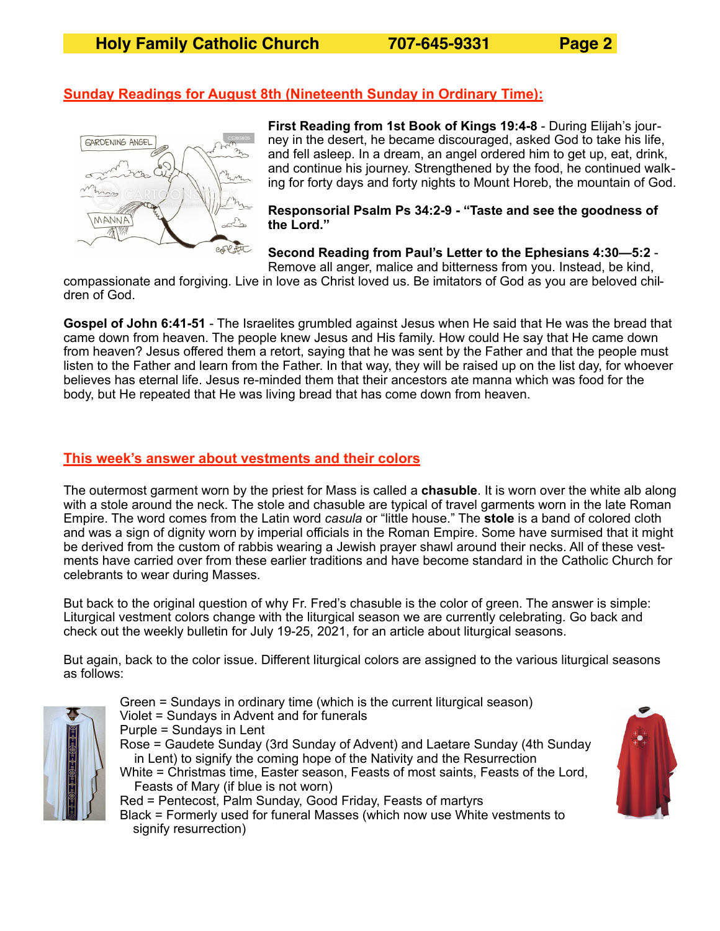#### **Sunday Readings for August 8th (Nineteenth Sunday in Ordinary Time):**



**First Reading from 1st Book of Kings 19:4-8** - During Elijah's journey in the desert, he became discouraged, asked God to take his life, and fell asleep. In a dream, an angel ordered him to get up, eat, drink, and continue his journey. Strengthened by the food, he continued walking for forty days and forty nights to Mount Horeb, the mountain of God.

**Responsorial Psalm Ps 34:2-9 - "Taste and see the goodness of the Lord."** 

**Second Reading from Paul's Letter to the Ephesians 4:30—5:2** -

Remove all anger, malice and bitterness from you. Instead, be kind, compassionate and forgiving. Live in love as Christ loved us. Be imitators of God as you are beloved children of God.

**Gospel of John 6:41-51** - The Israelites grumbled against Jesus when He said that He was the bread that came down from heaven. The people knew Jesus and His family. How could He say that He came down from heaven? Jesus offered them a retort, saying that he was sent by the Father and that the people must listen to the Father and learn from the Father. In that way, they will be raised up on the list day, for whoever believes has eternal life. Jesus re-minded them that their ancestors ate manna which was food for the body, but He repeated that He was living bread that has come down from heaven.

#### **This week's answer about vestments and their colors**

The outermost garment worn by the priest for Mass is called a **chasuble**. It is worn over the white alb along with a stole around the neck. The stole and chasuble are typical of travel garments worn in the late Roman Empire. The word comes from the Latin word *casula* or "little house." The **stole** is a band of colored cloth and was a sign of dignity worn by imperial officials in the Roman Empire. Some have surmised that it might be derived from the custom of rabbis wearing a Jewish prayer shawl around their necks. All of these vestments have carried over from these earlier traditions and have become standard in the Catholic Church for celebrants to wear during Masses.

But back to the original question of why Fr. Fred's chasuble is the color of green. The answer is simple: Liturgical vestment colors change with the liturgical season we are currently celebrating. Go back and check out the weekly bulletin for July 19-25, 2021, for an article about liturgical seasons.

But again, back to the color issue. Different liturgical colors are assigned to the various liturgical seasons as follows:



Green = Sundays in ordinary time (which is the current liturgical season) Violet = Sundays in Advent and for funerals Purple = Sundays in Lent Rose = Gaudete Sunday (3rd Sunday of Advent) and Laetare Sunday (4th Sunday in Lent) to signify the coming hope of the Nativity and the Resurrection White = Christmas time, Easter season, Feasts of most saints, Feasts of the Lord, Feasts of Mary (if blue is not worn) Red = Pentecost, Palm Sunday, Good Friday, Feasts of martyrs

Black = Formerly used for funeral Masses (which now use White vestments to signify resurrection)